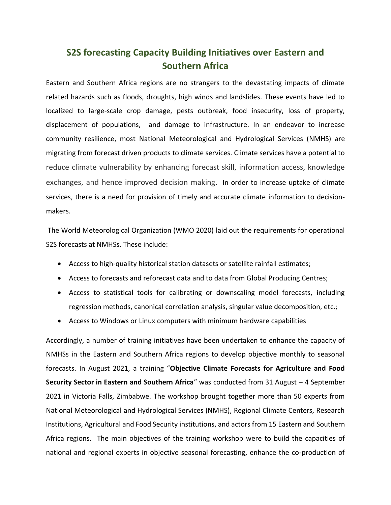## **S2S forecasting Capacity Building Initiatives over Eastern and Southern Africa**

Eastern and Southern Africa regions are no strangers to the devastating impacts of climate related hazards such as floods, droughts, high winds and landslides. These events have led to localized to large-scale crop damage, pests outbreak, food insecurity, loss of property, displacement of populations, and damage to infrastructure. In an endeavor to increase community resilience, most National Meteorological and Hydrological Services (NMHS) are migrating from forecast driven products to climate services. Climate services have a potential to reduce climate vulnerability by enhancing forecast skill, information access, knowledge exchanges, and hence improved decision making. In order to increase uptake of climate services, there is a need for provision of timely and accurate climate information to decisionmakers.

The World Meteorological Organization (WMO 2020) laid out the requirements for operational S2S forecasts at NMHSs. These include:

- Access to high-quality historical station datasets or satellite rainfall estimates;
- Access to forecasts and reforecast data and to data from Global Producing Centres;
- Access to statistical tools for calibrating or downscaling model forecasts, including regression methods, canonical correlation analysis, singular value decomposition, etc.;
- Access to Windows or Linux computers with minimum hardware capabilities

Accordingly, a number of training initiatives have been undertaken to enhance the capacity of NMHSs in the Eastern and Southern Africa regions to develop objective monthly to seasonal forecasts. In August 2021, a training "**Objective Climate Forecasts for Agriculture and Food Security Sector in Eastern and Southern Africa**" was conducted from 31 August – 4 September 2021 in Victoria Falls, Zimbabwe. The workshop brought together more than 50 experts from National Meteorological and Hydrological Services (NMHS), Regional Climate Centers, Research Institutions, Agricultural and Food Security institutions, and actors from 15 Eastern and Southern Africa regions. The main objectives of the training workshop were to build the capacities of national and regional experts in objective seasonal forecasting, enhance the co-production of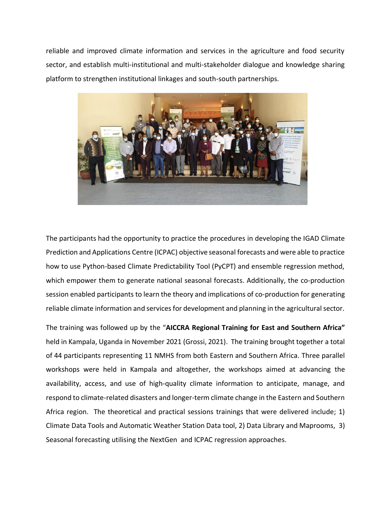reliable and improved climate information and services in the agriculture and food security sector, and establish multi-institutional and multi-stakeholder dialogue and knowledge sharing platform to strengthen institutional linkages and south-south partnerships.



The participants had the opportunity to practice the procedures in developing the IGAD Climate Prediction and Applications Centre (ICPAC) objective seasonal forecasts and were able to practice how to use Python-based Climate Predictability Tool (PyCPT) and ensemble regression method, which empower them to generate national seasonal forecasts. Additionally, the co-production session enabled participants to learn the theory and implications of co-production for generating reliable climate information and services for development and planning in the agricultural sector.

The training was followed up by the "**AICCRA Regional Training for East and Southern Africa"** held in Kampala, Uganda in November 2021 (Grossi, 2021). The training brought together a total of 44 participants representing 11 NMHS from both Eastern and Southern Africa. Three parallel workshops were held in Kampala and altogether, the workshops aimed at advancing the availability, access, and use of high-quality climate information to anticipate, manage, and respond to climate-related disasters and longer-term climate change in the Eastern and Southern Africa region. The theoretical and practical sessions trainings that were delivered include; 1) Climate Data Tools and Automatic Weather Station Data tool, 2) Data Library and Maprooms, 3) Seasonal forecasting utilising the NextGen and ICPAC regression approaches.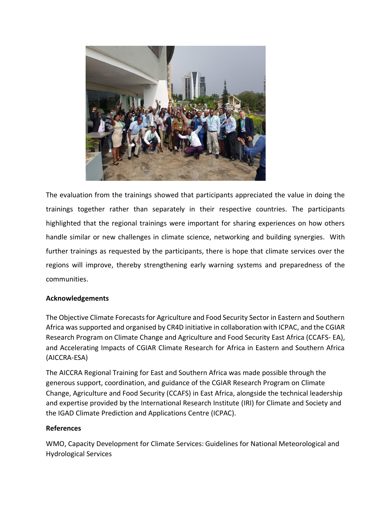

The evaluation from the trainings showed that participants appreciated the value in doing the trainings together rather than separately in their respective countries. The participants highlighted that the regional trainings were important for sharing experiences on how others handle similar or new challenges in climate science, networking and building synergies. With further trainings as requested by the participants, there is hope that climate services over the regions will improve, thereby strengthening early warning systems and preparedness of the communities.

## **Acknowledgements**

The Objective Climate Forecasts for Agriculture and Food Security Sector in Eastern and Southern Africa was supported and organised by CR4D initiative in collaboration with ICPAC, and the CGIAR Research Program on Climate Change and Agriculture and Food Security East Africa (CCAFS- EA), and Accelerating Impacts of CGIAR Climate Research for Africa in Eastern and Southern Africa (AICCRA-ESA)

The AICCRA Regional Training for East and Southern Africa was made possible through the generous support, coordination, and guidance of the CGIAR Research Program on Climate Change, Agriculture and Food Security (CCAFS) in East Africa, alongside the technical leadership and expertise provided by the International Research Institute (IRI) for Climate and Society and the IGAD Climate Prediction and Applications Centre (ICPAC).

## **References**

WMO, Capacity Development for Climate Services: Guidelines for National Meteorological and Hydrological Services